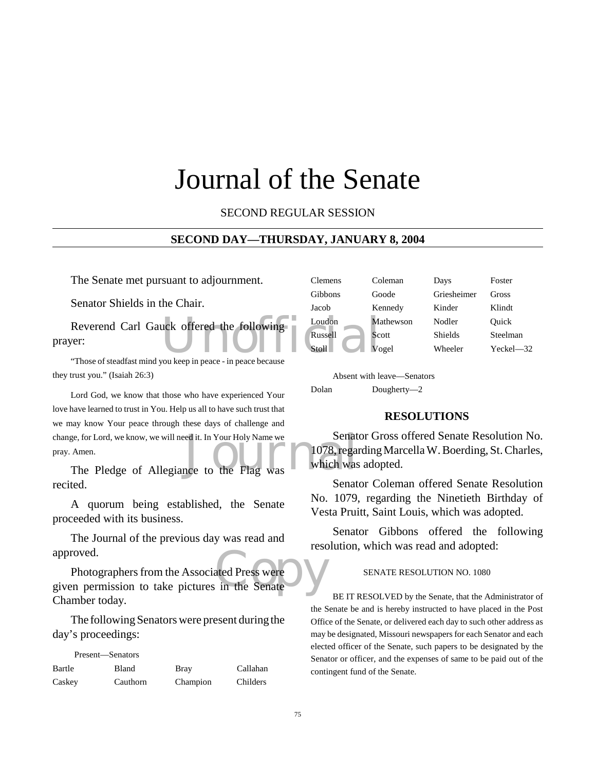# Journal of the Senate

SECOND REGULAR SESSION

#### **SECOND DAY—THURSDAY, JANUARY 8, 2004**

The Senate met pursuant to adjournment.

Senator Shields in the Chair.

Reverend Carl Gauck offered the following<br>
Ver:<br>
Those of steadfast mind you keep in peace in peace because prayer:

"Those of steadfast mind you keep in peace - in peace because they trust you." (Isaiah 26:3)

ge, for Lord, we know, we will need it. In Your Holy Name we Senat Amen.<br>
The Pledge of Allegiance to the Flag was Which was Lord God, we know that those who have experienced Your love have learned to trust in You. Help us all to have such trust that we may know Your peace through these days of challenge and change, for Lord, we know, we will need it. In Your Holy Name we pray. Amen.

recited.

A quorum being established, the Senate proceeded with its business.

The Journal of the previous day was read and approved.

ated Press were Photographers from the Associated Press were given permission to take pictures in the Senate Chamber today.

The following Senators were present during the day's proceedings:

| Present—Senators |          |             |          |
|------------------|----------|-------------|----------|
| Bartle           | Bland    | <b>Bray</b> | Callahan |
| Caskey           | Cauthorn | Champion    | Childers |

| <b>Clemens</b> | Coleman   | Days           | Foster        |
|----------------|-----------|----------------|---------------|
| Gibbons        | Goode     | Griesheimer    | Gross         |
| Jacob          | Kennedy   | Kinder         | Klindt        |
| Loudon         | Mathewson | Nodler         | Quick         |
| Russell        | Scott     | <b>Shields</b> | Steelman      |
| Stoll          | Vogel     | Wheeler        | $Yeckel - 32$ |
|                |           |                |               |

Absent with leave—Senators Dolan Dougherty—2

#### **RESOLUTIONS**

Senator Gross offered Senate Resolution No. 1078, regarding Marcella W. Boerding, St. Charles, which was adopted.

Senator Coleman offered Senate Resolution No. 1079, regarding the Ninetieth Birthday of Vesta Pruitt, Saint Louis, which was adopted.

Senator Gibbons offered the following resolution, which was read and adopted:

#### SENATE RESOLUTION NO. 1080

BE IT RESOLVED by the Senate, that the Administrator of the Senate be and is hereby instructed to have placed in the Post Office of the Senate, or delivered each day to such other address as may be designated, Missouri newspapers for each Senator and each elected officer of the Senate, such papers to be designated by the Senator or officer, and the expenses of same to be paid out of the contingent fund of the Senate.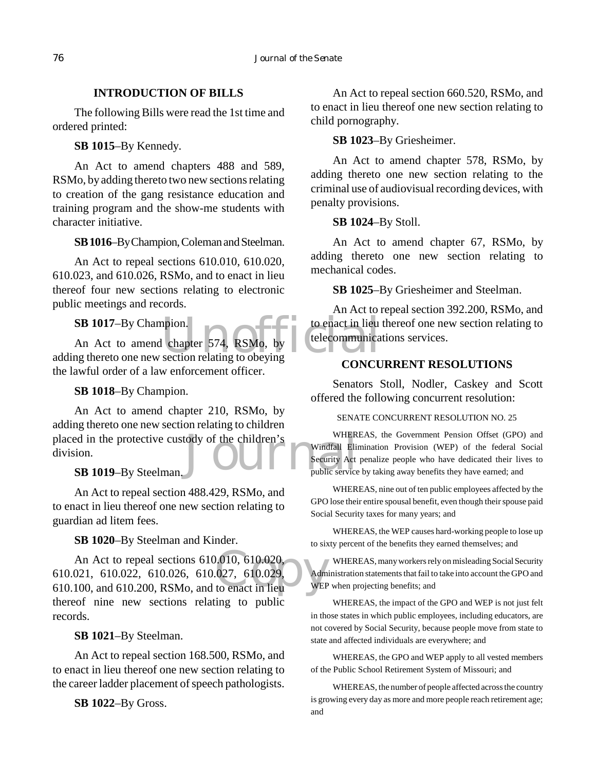#### **INTRODUCTION OF BILLS**

The following Bills were read the 1st time and ordered printed:

**SB 1015**–By Kennedy.

An Act to amend chapters 488 and 589, RSMo, by adding thereto two new sections relating to creation of the gang resistance education and training program and the show-me students with character initiative.

**SB 1016**–By Champion, Coleman and Steelman.

An Act to repeal sections 610.010, 610.020, 610.023, and 610.026, RSMo, and to enact in lieu thereof four new sections relating to electronic public meetings and records.

**SB 1017**–By Champion.

pion.<br>
chapter 574, RSMo, by<br>
section relating to obeying<br>
CONGU An Act to amend chapter 574, RSMo, by adding thereto one new section relating to obeying the lawful order of a law enforcement officer.

#### **SB 1018**–By Champion.

placed in the protective custody of the children's<br>
division.<br> **SB 1019**-By Steelman.<br>
Public service An Act to amend chapter 210, RSMo, by adding thereto one new section relating to children division.

## **SB 1019**–By Steelman.

An Act to repeal section 488.429, RSMo, and to enact in lieu thereof one new section relating to guardian ad litem fees.

**SB 1020**–By Steelman and Kinder.

 $\begin{array}{c} 0.010, 610.020, \\ 027, 610.029, \\ \text{to enact in lieu} \end{array}$  MEP An Act to repeal sections 610.010, 610.020, 610.021, 610.022, 610.026, 610.027, 610.029, 610.100, and 610.200, RSMo, and to enact in lieu thereof nine new sections relating to public records.

#### **SB 1021**–By Steelman.

An Act to repeal section 168.500, RSMo, and to enact in lieu thereof one new section relating to the career ladder placement of speech pathologists.

**SB 1022**–By Gross.

An Act to repeal section 660.520, RSMo, and to enact in lieu thereof one new section relating to child pornography.

#### **SB 1023**–By Griesheimer.

An Act to amend chapter 578, RSMo, by adding thereto one new section relating to the criminal use of audiovisual recording devices, with penalty provisions.

#### **SB 1024**–By Stoll.

An Act to amend chapter 67, RSMo, by adding thereto one new section relating to mechanical codes.

#### **SB 1025**–By Griesheimer and Steelman.

An Act to repeal section 392.200, RSMo, and to enact in lieu thereof one new section relating to telecommunications services.

### **CONCURRENT RESOLUTIONS**

Senators Stoll, Nodler, Caskey and Scott offered the following concurrent resolution:

#### SENATE CONCURRENT RESOLUTION NO. 25

WHEREAS, the Government Pension Offset (GPO) and Windfall Elimination Provision (WEP) of the federal Social Security Act penalize people who have dedicated their lives to public service by taking away benefits they have earned; and

WHEREAS, nine out of ten public employees affected by the GPO lose their entire spousal benefit, even though their spouse paid Social Security taxes for many years; and

WHEREAS, the WEP causes hard-working people to lose up to sixty percent of the benefits they earned themselves; and

WHEREAS, many workers rely on misleading Social Security Administration statements that fail to take into account the GPO and WEP when projecting benefits; and

WHEREAS, the impact of the GPO and WEP is not just felt in those states in which public employees, including educators, are not covered by Social Security, because people move from state to state and affected individuals are everywhere; and

WHEREAS, the GPO and WEP apply to all vested members of the Public School Retirement System of Missouri; and

WHEREAS, the number of people affected across the country is growing every day as more and more people reach retirement age; and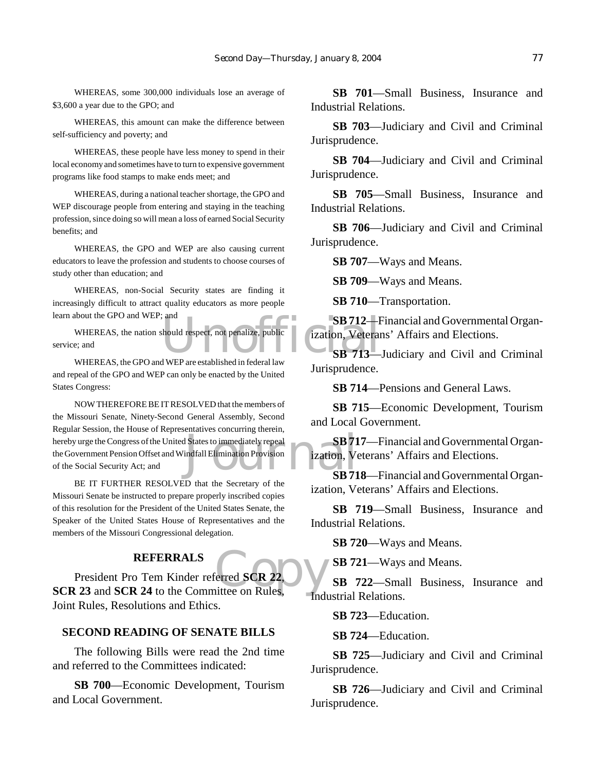WHEREAS, some 300,000 individuals lose an average of \$3,600 a year due to the GPO; and

WHEREAS, this amount can make the difference between self-sufficiency and poverty; and

WHEREAS, these people have less money to spend in their local economy and sometimes have to turn to expensive government programs like food stamps to make ends meet; and

WHEREAS, during a national teacher shortage, the GPO and WEP discourage people from entering and staying in the teaching profession, since doing so will mean a loss of earned Social Security benefits; and

WHEREAS, the GPO and WEP are also causing current educators to leave the profession and students to choose courses of study other than education; and

WHEREAS, non-Social Security states are finding it increasingly difficult to attract quality educators as more people learn about the GPO and WEP; and

SB 712-F<br>
should respect, not penalize, public<br>
SB 713-8<br>
SB 713-WHEREAS, the nation should respect, not penalize, public service; and

WHEREAS, the GPO and WEP are established in federal law and repeal of the GPO and WEP can only be enacted by the United States Congress:

Summediately repeal<br>indfall Elimination Provision<br>SB 71 NOW THEREFORE BE IT RESOLVED that the members of the Missouri Senate, Ninety-Second General Assembly, Second Regular Session, the House of Representatives concurring therein, hereby urge the Congress of the United States to immediately repeal the Government Pension Offset and Windfall Elimination Provision of the Social Security Act; and

BE IT FURTHER RESOLVED that the Secretary of the Missouri Senate be instructed to prepare properly inscribed copies of this resolution for the President of the United States Senate, the Speaker of the United States House of Representatives and the members of the Missouri Congressional delegation.

#### **REFERRALS**

**SCR 23**<br> **SCR 23** and **SCR 24** to the Committee on Rules, President Pro Tem Kinder referred **SCR 22**, Joint Rules, Resolutions and Ethics.

#### **SECOND READING OF SENATE BILLS**

The following Bills were read the 2nd time and referred to the Committees indicated:

**SB 700**—Economic Development, Tourism and Local Government.

**SB 701**—Small Business, Insurance and Industrial Relations.

**SB 703**—Judiciary and Civil and Criminal Jurisprudence.

**SB 704**—Judiciary and Civil and Criminal Jurisprudence.

**SB 705**—Small Business, Insurance and Industrial Relations.

**SB 706**—Judiciary and Civil and Criminal Jurisprudence.

**SB 707**—Ways and Means.

**SB 709**—Ways and Means.

**SB 710**—Transportation.

**SB 712**—Financial and Governmental Organization, Veterans' Affairs and Elections.

**SB 713**—Judiciary and Civil and Criminal Jurisprudence.

**SB 714**—Pensions and General Laws.

**SB 715**—Economic Development, Tourism and Local Government.

**SB 717**—Financial and Governmental Organization, Veterans' Affairs and Elections.

**SB 718**—Financial and Governmental Organization, Veterans' Affairs and Elections.

**SB 719**—Small Business, Insurance and Industrial Relations.

**SB 720**—Ways and Means.

**SB 721**—Ways and Means.

**SB 722**—Small Business, Insurance and Industrial Relations.

**SB 723**—Education.

**SB 724**—Education.

**SB 725**—Judiciary and Civil and Criminal Jurisprudence.

**SB 726**—Judiciary and Civil and Criminal Jurisprudence.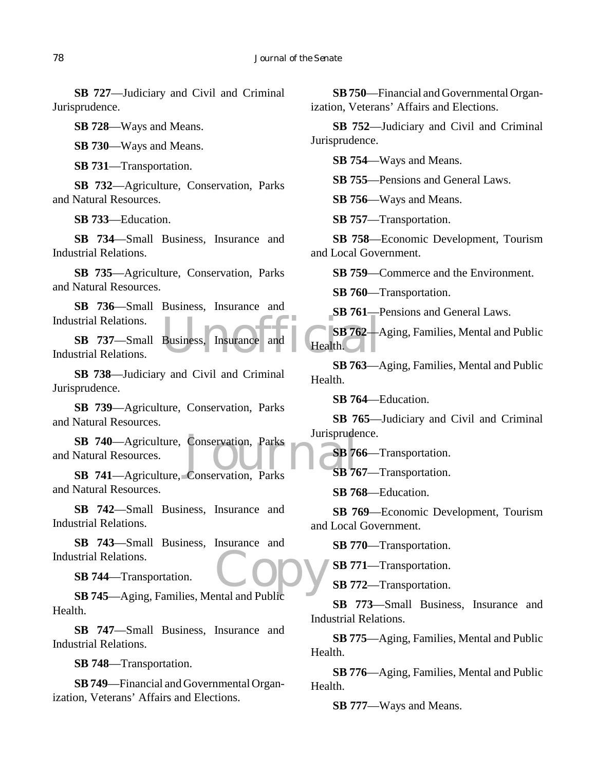**SB 727**—Judiciary and Civil and Criminal Jurisprudence.

**SB 728**—Ways and Means.

**SB 730**—Ways and Means.

**SB 731**—Transportation.

**SB 732**—Agriculture, Conservation, Parks and Natural Resources.

**SB 733**—Education.

**SB 734**—Small Business, Insurance and Industrial Relations.

**SB 735**—Agriculture, Conservation, Parks and Natural Resources.

**SB 736**—Small Business, Insurance and Industrial Relations.

Business, Insurance and Health. **SB 737**—Small Business, Insurance and Industrial Relations.

**SB 738**—Judiciary and Civil and Criminal Jurisprudence.

**SB 739**—Agriculture, Conservation, Parks and Natural Resources.

SB 740—Agriculture, Conservation, Parks<br>
Natural Resources.<br>
SB 741—Agriculture, Conservation, Parks<br>
SB 76 and Natural Resources.

**SB 741**—Agriculture, Conservation, Parks and Natural Resources.

**SB 742**—Small Business, Insurance and Industrial Relations.

Copy **SB 743**—Small Business, Insurance and Industrial Relations.

**SB 744**—Transportation.

**SB 745**—Aging, Families, Mental and Public Health.

**SB 747**—Small Business, Insurance and Industrial Relations.

**SB 748**—Transportation.

**SB 749**—Financial and Governmental Organization, Veterans' Affairs and Elections.

**SB 750**—Financial and Governmental Organization, Veterans' Affairs and Elections.

**SB 752**—Judiciary and Civil and Criminal Jurisprudence.

**SB 754**—Ways and Means.

**SB 755**—Pensions and General Laws.

**SB 756**—Ways and Means.

**SB 757**—Transportation.

**SB 758**—Economic Development, Tourism and Local Government.

**SB 759**—Commerce and the Environment.

**SB 760**—Transportation.

**SB 761**—Pensions and General Laws.

**SB 762**—Aging, Families, Mental and Public Health.

**SB 763**—Aging, Families, Mental and Public Health.

**SB 764**—Education.

**SB 765**—Judiciary and Civil and Criminal Jurisprudence.

**SB 766**—Transportation.

**SB 767**—Transportation.

**SB 768**—Education.

**SB 769**—Economic Development, Tourism and Local Government.

**SB 770**—Transportation.

**SB 771**—Transportation.

**SB 772**—Transportation.

**SB 773**—Small Business, Insurance and Industrial Relations.

**SB 775**—Aging, Families, Mental and Public Health.

**SB 776**—Aging, Families, Mental and Public Health.

**SB 777**—Ways and Means.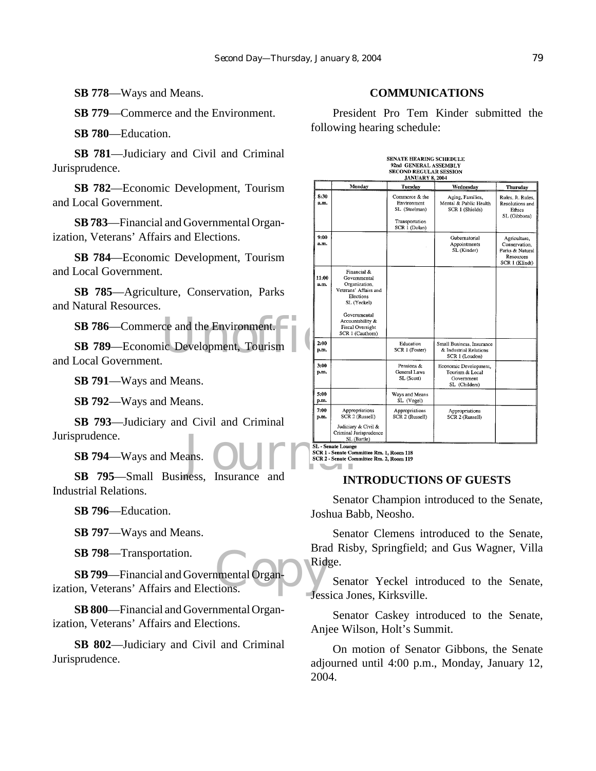**SB 778**—Ways and Means.

**SB 779**—Commerce and the Environment.

**SB 780**—Education.

**SB 781**—Judiciary and Civil and Criminal Jurisprudence.

**SB 782**—Economic Development, Tourism and Local Government.

**SB 783**—Financial and Governmental Organization, Veterans' Affairs and Elections.

**SB 784**—Economic Development, Tourism and Local Government.

**SB 785**—Agriculture, Conservation, Parks and Natural Resources.

SB 786—Commerce and the Environment.<br>
SB 789—Economic Development, Tourism **SB 789**—Economic Development, Tourism and Local Government.

**SB 791**—Ways and Means.

**SB 792**—Ways and Means.

**SB 793**—Judiciary and Civil and Criminal Jurisprudence.

**SB 794**—Ways and Means.

prudence.<br>
SB 794—Ways and Means.<br>
SB 795—Small Business, Insurance and INT Industrial Relations.

**SB 796**—Education.

**SB 797**—Ways and Means.

**SB 798**—Transportation.

mental Organ-**SB 799**—Financial and Governmental Organization, Veterans' Affairs and Elections.

**SB 800**—Financial and Governmental Organization, Veterans' Affairs and Elections.

**SB 802**—Judiciary and Civil and Criminal Jurisprudence.

#### **COMMUNICATIONS**

President Pro Tem Kinder submitted the following hearing schedule:

# SENATE HEARING SCHEDULE<br>92nd GENERAL ASSEMBLY<br>SECOND REGULAR SESSION

|               | JANUARY 8. 2004.                                                                                                                                                              |                                                                                   |                                                                         |                                                                                 |  |  |  |
|---------------|-------------------------------------------------------------------------------------------------------------------------------------------------------------------------------|-----------------------------------------------------------------------------------|-------------------------------------------------------------------------|---------------------------------------------------------------------------------|--|--|--|
|               | Monday                                                                                                                                                                        | Tuesday                                                                           | Wednesday                                                               | Thursday                                                                        |  |  |  |
| 8:30<br>a.m.  |                                                                                                                                                                               | Commerce & the<br>Environment<br>SL (Steelman)<br>Transportation<br>SCR 1 (Dolan) | Aging, Families,<br>Mental & Public Health<br>SCR 1 (Shields)           | Rules, Jt. Rules,<br>Resolutions and<br>Ethics<br>SL (Gibbons)                  |  |  |  |
| 9:00<br>a.m.  |                                                                                                                                                                               |                                                                                   | Gubernatorial<br>Appointments<br>SL (Kinder)                            | Agriculture,<br>Conservation.<br>Parks & Natural<br>Resources<br>SCR 1 (Klindt) |  |  |  |
| 11:00<br>a.m. | Financial &<br>Governmental<br>Organization,<br>Veterans' Affairs and<br>Elections<br>SL (Yeckel)<br>Governmental<br>Accountability &<br>Fiscal Oversight<br>SCR 1 (Cauthorn) |                                                                                   |                                                                         |                                                                                 |  |  |  |
| 2:00<br>p.m.  |                                                                                                                                                                               | Education<br>SCR 1 (Foster)                                                       | Small Business, Insurance<br>& Industrial Relations<br>SCR 1 (Loudon)   |                                                                                 |  |  |  |
| 3:00<br>p.m.  |                                                                                                                                                                               | Pensions &<br><b>General Laws</b><br>SL (Scott)                                   | Economic Development,<br>Tourism & Local<br>Government<br>SL (Childers) |                                                                                 |  |  |  |
| 5:00<br>p.m.  |                                                                                                                                                                               | Ways and Means<br>SL (Vogel)                                                      |                                                                         |                                                                                 |  |  |  |
| 7:00<br>p.m.  | Appropriations<br>SCR 2 (Russell)<br>Judiciary & Civil &<br>Criminal Jurisprudence<br>SL (Bartle)<br>SL - Senate Lounge                                                       | Appropriations<br>SCR 2 (Russell)                                                 | Appropriations<br>SCR 2 (Russell)                                       |                                                                                 |  |  |  |

# **INTRODUCTIONS OF GUESTS**

Senator Champion introduced to the Senate, Joshua Babb, Neosho.

Senator Clemens introduced to the Senate, Brad Risby, Springfield; and Gus Wagner, Villa Ridge.

Senator Yeckel introduced to the Senate, Jessica Jones, Kirksville.

Senator Caskey introduced to the Senate, Anjee Wilson, Holt's Summit.

On motion of Senator Gibbons, the Senate adjourned until 4:00 p.m., Monday, January 12, 2004.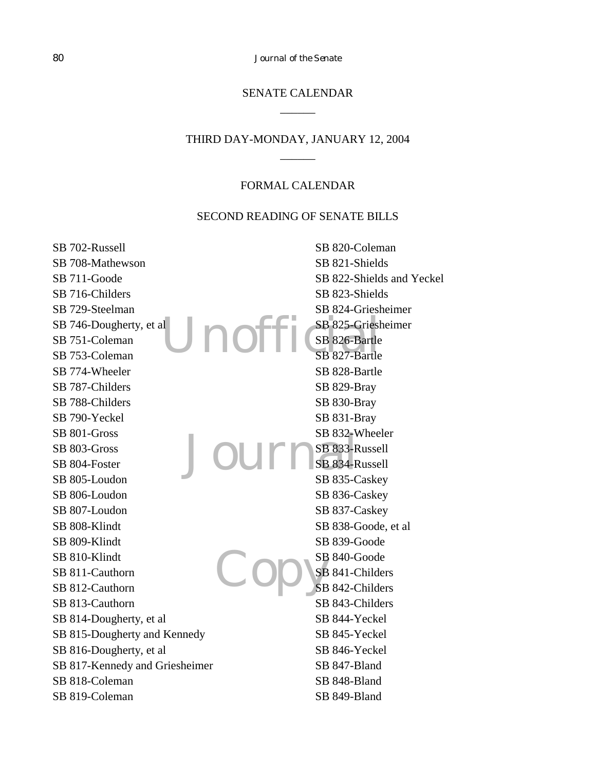80 *Journal of the Senate*

# SENATE CALENDAR  $\overline{\phantom{a}}$

## THIRD DAY-MONDAY, JANUARY 12, 2004  $\overline{\phantom{a}}$

#### FORMAL CALENDAR

#### SECOND READING OF SENATE BILLS

Unofficial SB 825-Griesh Journal Copys SB 702-Russell SB 708-Mathewson SB 711-Goode SB 716-Childers SB 729-Steelman SB 746-Dougherty, et al SB 751-Coleman SB 753-Coleman SB 774-Wheeler SB 787-Childers SB 788-Childers SB 790-Yeckel SB 801-Gross SB 803-Gross SB 804-Foster SB 805-Loudon SB 806-Loudon SB 807-Loudon SB 808-Klindt SB 809-Klindt SB 810-Klindt SB 811-Cauthorn SB 812-Cauthorn SB 813-Cauthorn SB 814-Dougherty, et al SB 815-Dougherty and Kennedy SB 816-Dougherty, et al SB 817-Kennedy and Griesheimer SB 818-Coleman SB 819-Coleman SB 820-Coleman SB 821-Shields SB 822-Shields and Yeckel SB 823-Shields SB 824-Griesheimer SB 825-Griesheimer SB 826-Bartle SB 827-Bartle SB 828-Bartle SB 829-Bray SB 830-Bray SB 831-Bray SB 832-Wheeler SB 833-Russell SB 834-Russell SB 835-Caskey SB 836-Caskey SB 837-Caskey SB 838-Goode, et al SB 839-Goode SB 840-Goode SB 841-Childers SB 842-Childers SB 843-Childers SB 844-Yeckel SB 845-Yeckel SB 846-Yeckel SB 847-Bland SB 848-Bland SB 849-Bland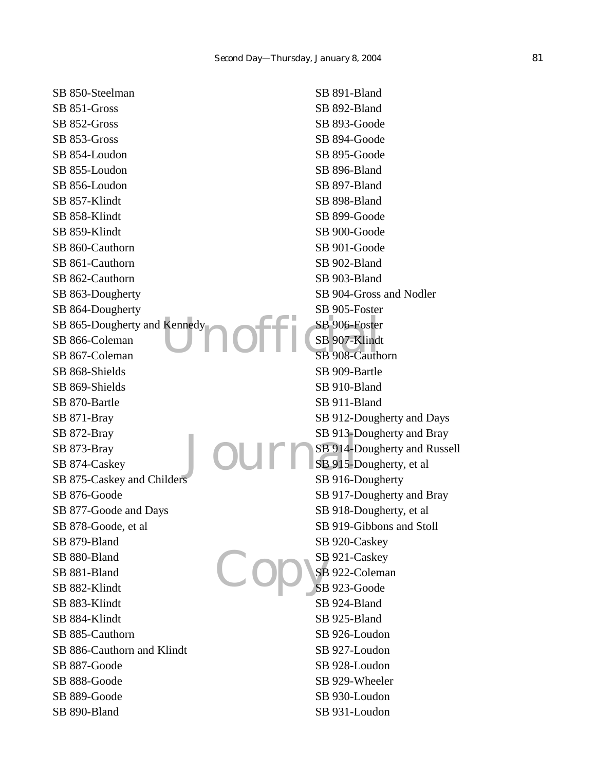SB 850-Steelman SB 851-Gross SB 852-Gross SB 853-Gross SB 854-Loudon SB 855-Loudon SB 856-Loudon SB 857-Klindt SB 858-Klindt SB 859-Klindt SB 860-Cauthorn SB 861-Cauthorn SB 862-Cauthorn SB 863-Dougherty SB 864-Dougherty SB 865-Dougherty and Kennedy SB 866-Coleman SB 867-Coleman SB 868-Shields SB 869-Shields SB 870-Bartle SB 871-Bray SB 872-Bray SB 873-Bray SB 874-Caskey SB 875-Caskey and Childers SB 876-Goode SB 877-Goode and Days SB 878-Goode, et al SB 879-Bland SB 880-Bland SB 881-Bland SB 882-Klindt SB 883-Klindt SB 884-Klindt SB 885-Cauthorn SB 886-Cauthorn and Klindt SB 887-Goode SB 888-Goode SB 889-Goode SB 890-Bland

Kennedy<br>
SB 906-Foster<br>
SB 907-Klind Journal Copys SB 891-Bland SB 892-Bland SB 893-Goode SB 894-Goode SB 895-Goode SB 896-Bland SB 897-Bland SB 898-Bland SB 899-Goode SB 900-Goode SB 901-Goode SB 902-Bland SB 903-Bland SB 904-Gross and Nodler SB 905-Foster SB 906-Foster SB 907-Klindt SB 908-Cauthorn SB 909-Bartle SB 910-Bland SB 911-Bland SB 912-Dougherty and Days SB 913-Dougherty and Bray SB 914-Dougherty and Russell SB 915-Dougherty, et al. SB 916-Dougherty SB 917-Dougherty and Bray SB 918-Dougherty, et al SB 919-Gibbons and Stoll SB 920-Caskey SB 921-Caskey SB 922-Coleman SB 923-Goode SB 924-Bland SB 925-Bland SB 926-Loudon SB 927-Loudon SB 928-Loudon SB 929-Wheeler SB 930-Loudon SB 931-Loudon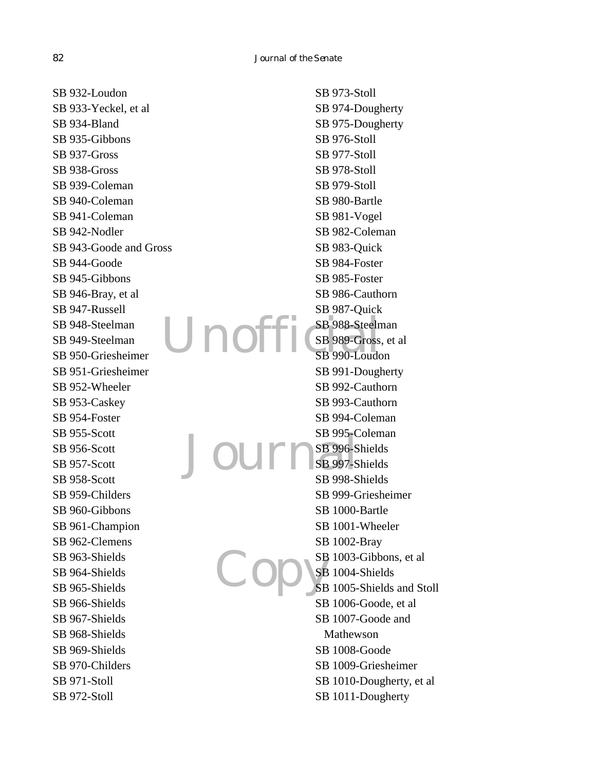Unofi Journ  $\overline{\mathcal{C}}$ SB 932-Loudon SB 933-Yeckel, et al SB 934-Bland SB 935-Gibbons SB 937-Gross SB 938-Gross SB 939-Coleman SB 940-Coleman SB 941-Coleman SB 942-Nodler SB 943-Goode and Gross SB 944-Goode SB 945-Gibbons SB 946-Bray, et al SB 947-Russell SB 948-Steelman SB 949-Steelman SB 950-Griesheimer SB 951-Griesheimer SB 952-Wheeler SB 953-Caskey SB 954-Foster SB 955-Scott SB 956-Scott SB 957-Scott SB 958-Scott SB 959-Childers SB 960-Gibbons SB 961-Champion SB 962-Clemens SB 963-Shields SB 964-Shields SB 965-Shields SB 966-Shields SB 967-Shields SB 968-Shields SB 969-Shields SB 970-Childers SB 971-Stoll SB 972-Stoll SB 973-Stoll SB 974-Dougherty SB 975-Dougherty SB 976-Stoll SB 977-Stoll SB 978-Stoll SB 979-Stoll SB 980-Bartle SB 981-Vogel SB 982-Coleman SB 983-Quick SB 984-Foster SB 985-Foster SB 986-Cauthorn SB 987-Quick SB 988-Steelman SB 989-Gross, et al SB 990-Loudon SB 991-Dougherty SB 992-Cauthorn SB 993-Cauthorn SB 994-Coleman SB 995-Coleman SB 996-Shields SB 997-Shields SB 998-Shields SB 999-Griesheimer SB 1000-Bartle SB 1001-Wheeler SB 1002-Bray SB 1003-Gibbons, et al SB 1004-Shields SB 1005-Shields and Stoll SB 1006-Goode, et al SB 1007-Goode and Mathewson SB 1008-Goode SB 1009-Griesheimer SB 1010-Dougherty, et al SB 1011-Dougherty